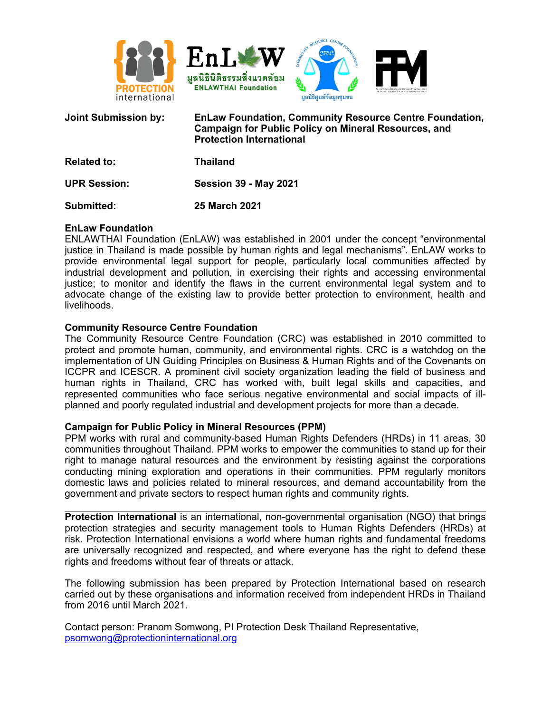

| <b>Joint Submission by:</b> | <b>EnLaw Foundation, Community Resource Centre Foundation,</b><br><b>Campaign for Public Policy on Mineral Resources, and</b><br><b>Protection International</b> |
|-----------------------------|------------------------------------------------------------------------------------------------------------------------------------------------------------------|
| <b>Related to:</b>          | <b>Thailand</b>                                                                                                                                                  |
| <b>UPR Session:</b>         | <b>Session 39 - May 2021</b>                                                                                                                                     |
| Submitted:                  | <b>25 March 2021</b>                                                                                                                                             |

### **EnLaw Foundation**

ENLAWTHAI Foundation (EnLAW) was established in 2001 under the concept "environmental justice in Thailand is made possible by human rights and legal mechanisms". EnLAW works to provide environmental legal support for people, particularly local communities affected by industrial development and pollution, in exercising their rights and accessing environmental justice; to monitor and identify the flaws in the current environmental legal system and to advocate change of the existing law to provide better protection to environment, health and livelihoods.

#### **Community Resource Centre Foundation**

The Community Resource Centre Foundation (CRC) was established in 2010 committed to protect and promote human, community, and environmental rights. CRC is <sup>a</sup> watchdog on the implementation of UN Guiding Principles on Business & Human Rights and of the Covenants on ICCPR and ICESCR. A prominent civil society organization leading the field of business and human rights in Thailand, CRC has worked with, built legal skills and capacities, and represented communities who face serious negative environmental and social impacts of illplanned and poorly regulated industrial and development projects for more than <sup>a</sup> decade.

#### **Campaign for Public Policy in Mineral Resources (PPM)**

PPM works with rural and community-based Human Rights Defenders (HRDs) in 11 areas, 30 communities throughout Thailand. PPM works to empower the communities to stand up for their right to manage natural resources and the environment by resisting against the corporations conducting mining exploration and operations in their communities. PPM regularly monitors domestic laws and policies related to mineral resources, and demand accountability from the government and private sectors to respect human rights and community rights.

**Protection International** is an international, non-governmental organisation (NGO) that brings protection strategies and security management tools to Human Rights Defenders (HRDs) at risk. Protection International envisions <sup>a</sup> world where human rights and fundamental freedoms are universally recognized and respected, and where everyone has the right to defend these rights and freedoms without fear of threats or attack.

The following submission has been prepared by Protection International based on research carried out by these organisations and information received from independent HRDs in Thailand from 2016 until March 2021.

Contact person: Pranom Somwong, PI Protection Desk Thailand Representative, [psomwong@protectioninternational.org](mailto:psomwong@protectioninternational.org)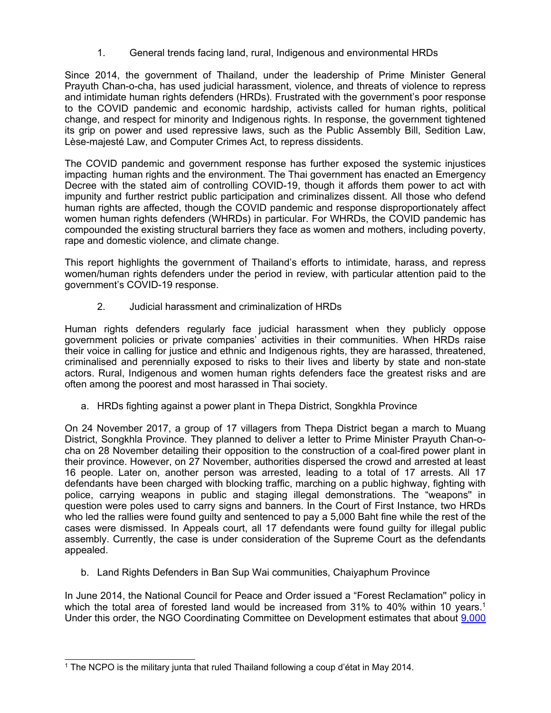1. General trends facing land, rural, Indigenous and environmental HRDs

Since 2014, the government of Thailand, under the leadership of Prime Minister General Prayuth Chan-o-cha, has used judicial harassment, violence, and threats of violence to repress and intimidate human rights defenders (HRDs). Frustrated with the government'<sup>s</sup> poor response to the COVID pandemic and economic hardship, activists called for human rights, political change, and respect for minority and Indigenous rights. In response, the government tightened its grip on power and used repressive laws, such as the Public Assembly Bill, Sedition Law, Lèse-majesté Law, and Computer Crimes Act, to repress dissidents.

The COVID pandemic and government response has further exposed the systemic injustices impacting human rights and the environment. The Thai government has enacted an Emergency Decree with the stated aim of controlling COVID-19, though it affords them power to act with impunity and further restrict public participation and criminalizes dissent. All those who defend human rights are affected, though the COVID pandemic and response disproportionately affect women human rights defenders (WHRDs) in particular. For WHRDs, the COVID pandemic has compounded the existing structural barriers they face as women and mothers, including poverty, rape and domestic violence, and climate change.

This report highlights the government of Thailand'<sup>s</sup> efforts to intimidate, harass, and repress women/human rights defenders under the period in review, with particular attention paid to the government'<sup>s</sup> COVID-19 response.

2. Judicial harassment and criminalization of HRDs

Human rights defenders regularly face judicial harassment when they publicly oppose government policies or private companies' activities in their communities. When HRDs raise their voice in calling for justice and ethnic and Indigenous rights, they are harassed, threatened, criminalised and perennially exposed to risks to their lives and liberty by state and non-state actors. Rural, Indigenous and women human rights defenders face the greatest risks and are often among the poorest and most harassed in Thai society.

a. HRDs fighting against <sup>a</sup> power plant in Thepa District, Songkhla Province

On 24 November 2017, <sup>a</sup> group of 17 villagers from Thepa District began <sup>a</sup> march to Muang District, Songkhla Province. They planned to deliver <sup>a</sup> letter to Prime Minister Prayuth Chan-ocha on 28 November detailing their opposition to the construction of <sup>a</sup> coal-fired power plant in their province. However, on 27 November, authorities dispersed the crowd and arrested at least 16 people. Later on, another person was arrested, leading to <sup>a</sup> total of 17 arrests. All 17 defendants have been charged with blocking traffic, marching on <sup>a</sup> public highway, fighting with police, carrying weapons in public and staging illegal demonstrations. The "weapons'' in question were poles used to carry signs and banners. In the Court of First Instance, two HRDs who led the rallies were found guilty and sentenced to pay <sup>a</sup> 5,000 Baht fine while the rest of the cases were dismissed. In Appeals court, all 17 defendants were found guilty for illegal public assembly. Currently, the case is under consideration of the Supreme Court as the defendants appealed.

b. Land Rights Defenders in Ban Sup Wai communities, Chaiyaphum Province

In June 2014, the National Council for Peace and Order issued <sup>a</sup> "Forest Reclamation'' policy in which the total area of forested land would be increased from 31% to 40% within 10 years. 1 Under this order, the NGO Coordinating Committee on Development estimates that about [9,000](https://themomentum.co/reforestation-authoritarianism/)

<sup>1</sup> The NCPO is the military junta that ruled Thailand following <sup>a</sup> coup d'état in May 2014.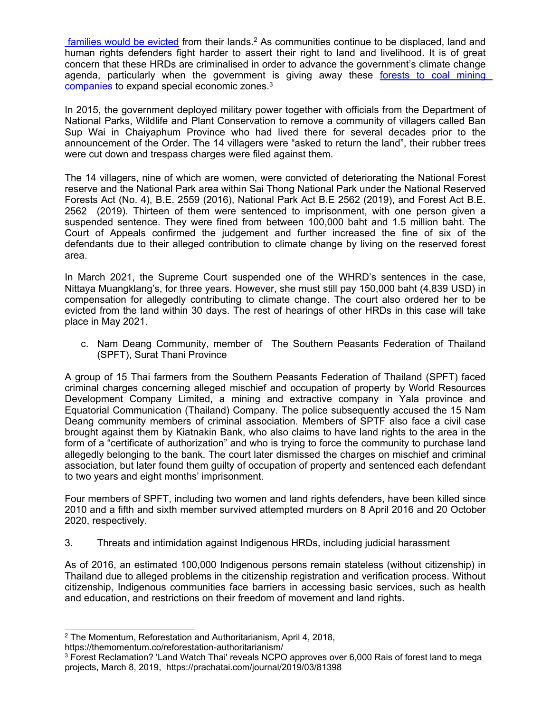[families](https://themomentum.co/reforestation-authoritarianism/) would be evicted from their lands.<sup>2</sup> As communities continue to be displaced, land and human rights defenders fight harder to assert their right to land and livelihood. It is of great concern that these HRDs are criminalised in order to advance the government'<sup>s</sup> climate change agenda, particularly when the government is giving away these forests to coal [mining](https://prachatai.com/journal/2019/03/81398) [companies](https://prachatai.com/journal/2019/03/81398) to expand special economic zones.<sup>3</sup>

In 2015, the government deployed military power together with officials from the Department of National Parks, Wildlife and Plant Conservation to remove <sup>a</sup> community of villagers called Ban Sup Wai in Chaiyaphum Province who had lived there for several decades prior to the announcement of the Order. The 14 villagers were "asked to return the land", their rubber trees were cut down and trespass charges were filed against them.

The 14 villagers, nine of which are women, were convicted of deteriorating the National Forest reserve and the National Park area within Sai Thong National Park under the National Reserved Forests Act (No. 4), B.E. 2559 (2016), National Park Act B.E 2562 (2019), and Forest Act B.E. 2562 (2019). Thirteen of them were sentenced to imprisonment, with one person given <sup>a</sup> suspended sentence. They were fined from between 100,000 baht and 1.5 million baht. The Court of Appeals confirmed the judgement and further increased the fine of six of the defendants due to their alleged contribution to climate change by living on the reserved forest area.

In March 2021, the Supreme Court suspended one of the WHRD'<sup>s</sup> sentences in the case, Nittaya Muangklang's, for three years. However, she must still pay 150,000 baht (4,839 USD) in compensation for allegedly contributing to climate change. The court also ordered her to be evicted from the land within 30 days. The rest of hearings of other HRDs in this case will take place in May 2021.

c. Nam Deang Community, member of The Southern Peasants Federation of Thailand (SPFT), Surat Thani Province

A group of 15 Thai farmers from the Southern Peasants Federation of Thailand (SPFT) faced criminal charges concerning alleged mischief and occupation of property by World Resources Development Company Limited, <sup>a</sup> mining and extractive company in Yala province and Equatorial Communication (Thailand) Company. The police subsequently accused the 15 Nam Deang community members of criminal association. Members of SPTF also face <sup>a</sup> civil case brought against them by Kiatnakin Bank, who also claims to have land rights to the area in the form of <sup>a</sup> "certificate of authorization" and who is trying to force the community to purchase land allegedly belonging to the bank. The court later dismissed the charges on mischief and criminal association, but later found them guilty of occupation of property and sentenced each defendant to two years and eight months' imprisonment.

Four members of SPFT, including two women and land rights defenders, have been killed since 2010 and <sup>a</sup> fifth and sixth member survived attempted murders on 8 April 2016 and 20 October 2020, respectively.

3. Threats and intimidation against Indigenous HRDs, including judicial harassment

As of 2016, an estimated 100,000 Indigenous persons remain stateless (without citizenship) in Thailand due to alleged problems in the citizenship registration and verification process. Without citizenship, Indigenous communities face barriers in accessing basic services, such as health and education, and restrictions on their freedom of movement and land rights.

<sup>2</sup> The Momentum, Reforestation and Authoritarianism, April 4, 2018, https://themomentum.co/reforestation-authoritarianism/

<sup>&</sup>lt;sup>3</sup> Forest Reclamation? 'Land Watch Thai' reveals NCPO approves over 6,000 Rais of forest land to mega projects, March 8, 2019, https://prachatai.com/journal/2019/03/81398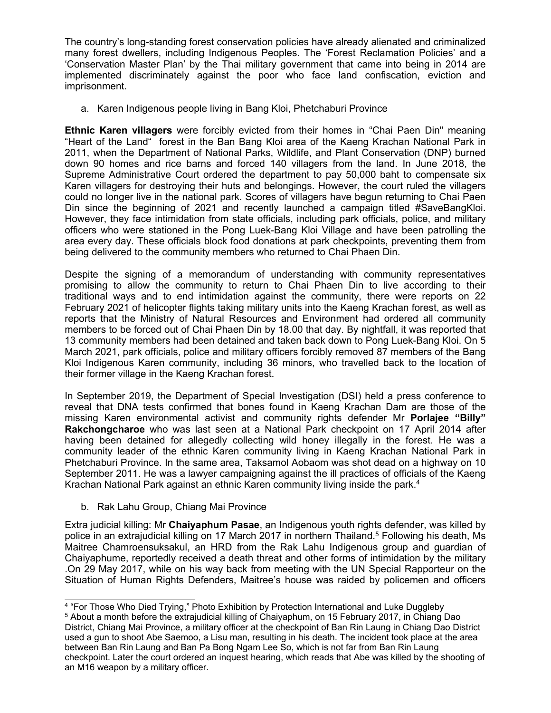The country'<sup>s</sup> long-standing forest conservation policies have already alienated and criminalized many forest dwellers, including Indigenous Peoples. The 'Forest Reclamation Policies' and <sup>a</sup> 'Conservation Master Plan' by the Thai military government that came into being in 2014 are implemented discriminately against the poor who face land confiscation, eviction and imprisonment.

a. Karen Indigenous people living in Bang Kloi, Phetchaburi Province

**Ethnic Karen villagers** were forcibly evicted from their homes in "Chai Paen Din" meaning "Heart of the Land" forest in the Ban Bang Kloi area of the Kaeng Krachan National Park in 2011, when the Department of National Parks, Wildlife, and Plant Conservation (DNP) burned down 90 homes and rice barns and forced 140 villagers from the land. In June 2018, the Supreme Administrative Court ordered the department to pay 50,000 baht to compensate six Karen villagers for destroying their huts and belongings. However, the court ruled the villagers could no longer live in the national park. Scores of villagers have begun returning to Chai Paen Din since the beginning of 2021 and recently launched <sup>a</sup> campaign titled #SaveBangKloi. However, they face intimidation from state officials, including park officials, police, and military officers who were stationed in the Pong Luek-Bang Kloi Village and have been patrolling the area every day. These officials block food donations at park checkpoints, preventing them from being delivered to the community members who returned to Chai Phaen Din.

Despite the signing of <sup>a</sup> memorandum of understanding with community representatives promising to allow the community to return to Chai Phaen Din to live according to their traditional ways and to end intimidation against the community, there were reports on 22 February 2021 of helicopter flights taking military units into the Kaeng Krachan forest, as well as reports that the Ministry of Natural Resources and Environment had ordered all community members to be forced out of Chai Phaen Din by 18.00 that day. By nightfall, it was reported that 13 community members had been detained and taken back down to Pong Luek-Bang Kloi. On 5 March 2021, park officials, police and military officers forcibly removed 87 members of the Bang Kloi Indigenous Karen community, including 36 minors, who travelled back to the location of their former village in the Kaeng Krachan forest.

In September 2019, the Department of Special Investigation (DSI) held <sup>a</sup> press conference to reveal that DNA tests confirmed that bones found in Kaeng Krachan Dam are those of the missing Karen environmental activist and community rights defender Mr **Porlajee "Billy" Rakchongcharoe** who was last seen at <sup>a</sup> National Park checkpoint on 17 April 2014 after having been detained for allegedly collecting wild honey illegally in the forest. He was <sup>a</sup> community leader of the ethnic Karen community living in Kaeng Krachan National Park in Phetchaburi Province. In the same area, Taksamol Aobaom was shot dead on <sup>a</sup> highway on 10 September 2011. He was <sup>a</sup> lawyer campaigning against the ill practices of officials of the Kaeng Krachan National Park against an ethnic Karen community living inside the park. 4

b. Rak Lahu Group, Chiang Mai Province

Extra judicial killing: Mr **Chaiyaphum Pasae**, an Indigenous youth rights defender, was killed by police in an extrajudicial killing on 17 March 2017 in northern Thailand. 5 Following his death, Ms Maitree Chamroensuksakul, an HRD from the Rak Lahu Indigenous group and guardian of Chaiyaphume, reportedly received <sup>a</sup> death threat and other forms of intimidation by the military .On 29 May 2017, while on his way back from meeting with the UN Special Rapporteur on the Situation of Human Rights Defenders, Maitree'<sup>s</sup> house was raided by policemen and officers

<sup>4</sup> "For Those Who Died Trying," Photo Exhibition by Protection International and Luke Duggleby

<sup>5</sup> About <sup>a</sup> month before the extrajudicial killing of Chaiyaphum, on 15 February 2017, in Chiang Dao District, Chiang Mai Province, <sup>a</sup> military officer at the checkpoint of Ban Rin Laung in Chiang Dao District used <sup>a</sup> gun to shoot Abe Saemoo, <sup>a</sup> Lisu man, resulting in his death. The incident took place at the area between Ban Rin Laung and Ban Pa Bong Ngam Lee So, which is not far from Ban Rin Laung checkpoint. Later the court ordered an inquest hearing, which reads that Abe was killed by the shooting of an M16 weapon by <sup>a</sup> military officer.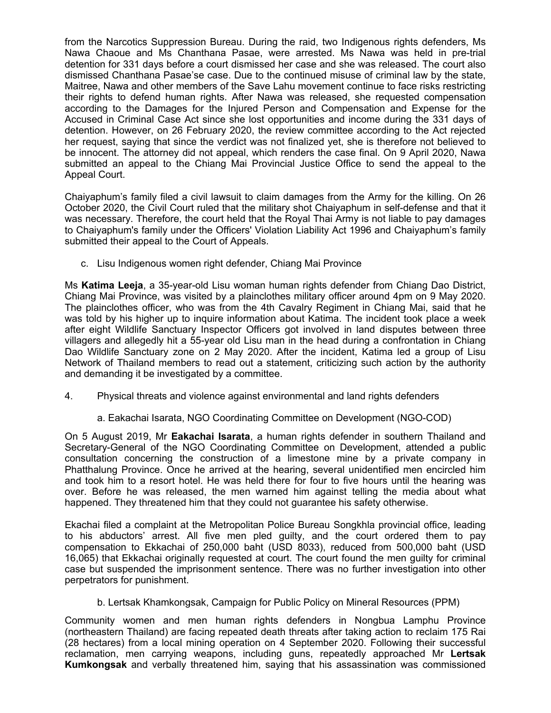from the Narcotics Suppression Bureau. During the raid, two Indigenous rights defenders, Ms Nawa Chaoue and Ms Chanthana Pasae, were arrested. Ms Nawa was held in pre-trial detention for 331 days before <sup>a</sup> court dismissed her case and she was released. The court also dismissed Chanthana Pasae'se case. Due to the continued misuse of criminal law by the state, Maitree, Nawa and other members of the Save Lahu movement continue to face risks restricting their rights to defend human rights. After Nawa was released, she requested compensation according to the Damages for the Injured Person and Compensation and Expense for the Accused in Criminal Case Act since she lost opportunities and income during the 331 days of detention. However, on 26 February 2020, the review committee according to the Act rejected her request, saying that since the verdict was not finalized yet, she is therefore not believed to be innocent. The attorney did not appeal, which renders the case final. On 9 April 2020, Nawa submitted an appeal to the Chiang Mai Provincial Justice Office to send the appeal to the Appeal Court.

Chaiyaphum'<sup>s</sup> family filed <sup>a</sup> civil lawsuit to claim damages from the Army for the killing. On 26 October 2020, the Civil Court ruled that the military shot Chaiyaphum in self-defense and that it was necessary. Therefore, the court held that the Royal Thai Army is not liable to pay damages to Chaiyaphum's family under the Officers' Violation Liability Act 1996 and Chaiyaphum'<sup>s</sup> family submitted their appeal to the Court of Appeals.

c. Lisu Indigenous women right defender, Chiang Mai Province

Ms **Katima Leeja**, <sup>a</sup> 35-year-old Lisu woman human rights defender from Chiang Dao District, Chiang Mai Province, was visited by <sup>a</sup> plainclothes military officer around 4pm on 9 May 2020. The plainclothes officer, who was from the 4th Cavalry Regiment in Chiang Mai, said that he was told by his higher up to inquire information about Katima. The incident took place <sup>a</sup> week after eight Wildlife Sanctuary Inspector Officers got involved in land disputes between three villagers and allegedly hit <sup>a</sup> 55-year old Lisu man in the head during <sup>a</sup> confrontation in Chiang Dao Wildlife Sanctuary zone on 2 May 2020. After the incident, Katima led <sup>a</sup> group of Lisu Network of Thailand members to read out <sup>a</sup> statement, criticizing such action by the authority and demanding it be investigated by <sup>a</sup> committee.

4. Physical threats and violence against environmental and land rights defenders

# a. Eakachai Isarata, NGO Coordinating Committee on Development (NGO-COD)

On 5 August 2019, Mr **Eakachai Isarata**, <sup>a</sup> human rights defender in southern Thailand and Secretary-General of the NGO Coordinating Committee on Development, attended <sup>a</sup> public consultation concerning the construction of <sup>a</sup> limestone mine by <sup>a</sup> private company in Phatthalung Province. Once he arrived at the hearing, several unidentified men encircled him and took him to <sup>a</sup> resort hotel. He was held there for four to five hours until the hearing was over. Before he was released, the men warned him against telling the media about what happened. They threatened him that they could not guarantee his safety otherwise.

Ekachai filed <sup>a</sup> complaint at the Metropolitan Police Bureau Songkhla provincial office, leading to his abductors' arrest. All five men pled guilty, and the court ordered them to pay compensation to Ekkachai of 250,000 baht (USD 8033), reduced from 500,000 baht (USD 16,065) that Ekkachai originally requested at court. The court found the men guilty for criminal case but suspended the imprisonment sentence. There was no further investigation into other perpetrators for punishment.

b. Lertsak Khamkongsak, Campaign for Public Policy on Mineral Resources (PPM)

Community women and men human rights defenders in Nongbua Lamphu Province (northeastern Thailand) are facing repeated death threats after taking action to reclaim 175 Rai (28 hectares) from <sup>a</sup> local mining operation on 4 September 2020. Following their successful reclamation, men carrying weapons, including guns, repeatedly approached Mr **Lertsak Kumkongsak** and verbally threatened him, saying that his assassination was commissioned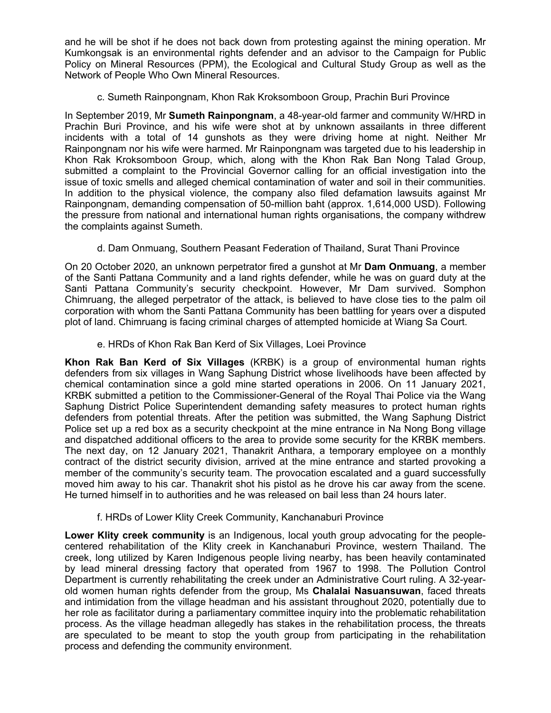and he will be shot if he does not back down from protesting against the mining operation. Mr Kumkongsak is an environmental rights defender and an advisor to the Campaign for Public Policy on Mineral Resources (PPM), the Ecological and Cultural Study Group as well as the Network of People Who Own Mineral Resources.

c. Sumeth Rainpongnam, Khon Rak Kroksomboon Group, Prachin Buri Province

In September 2019, Mr **Sumeth Rainpongnam**, <sup>a</sup> 48-year-old farmer and community W/HRD in Prachin Buri Province, and his wife were shot at by unknown assailants in three different incidents with <sup>a</sup> total of 14 gunshots as they were driving home at night. Neither Mr Rainpongnam nor his wife were harmed. Mr Rainpongnam was targeted due to his leadership in Khon Rak Kroksomboon Group, which, along with the Khon Rak Ban Nong Talad Group, submitted <sup>a</sup> complaint to the Provincial Governor calling for an official investigation into the issue of toxic smells and alleged chemical contamination of water and soil in their communities. In addition to the physical violence, the company also filed defamation lawsuits against Mr Rainpongnam, demanding compensation of 50-million baht (approx. 1,614,000 USD). Following the pressure from national and international human rights organisations, the company withdrew the complaints against Sumeth.

d. Dam Onmuang, Southern Peasant Federation of Thailand, Surat Thani Province

On 20 October 2020, an unknown perpetrator fired <sup>a</sup> gunshot at Mr **Dam Onmuang**, <sup>a</sup> member of the Santi Pattana Community and <sup>a</sup> land rights defender, while he was on guard duty at the Santi Pattana Community'<sup>s</sup> security checkpoint. However, Mr Dam survived. Somphon Chimruang, the alleged perpetrator of the attack, is believed to have close ties to the palm oil corporation with whom the Santi Pattana Community has been battling for years over <sup>a</sup> disputed plot of land. Chimruang is facing criminal charges of attempted homicide at Wiang Sa Court.

e. HRDs of Khon Rak Ban Kerd of Six Villages, Loei Province

**Khon Rak Ban Kerd of Six Villages** (KRBK) is <sup>a</sup> group of environmental human rights defenders from six villages in Wang Saphung District whose livelihoods have been affected by chemical contamination since <sup>a</sup> gold mine started operations in 2006. On 11 January 2021, KRBK submitted <sup>a</sup> petition to the Commissioner-General of the Royal Thai Police via the Wang Saphung District Police Superintendent demanding safety measures to protect human rights defenders from potential threats. After the petition was submitted, the Wang Saphung District Police set up <sup>a</sup> red box as <sup>a</sup> security checkpoint at the mine entrance in Na Nong Bong village and dispatched additional officers to the area to provide some security for the KRBK members. The next day, on 12 January 2021, Thanakrit Anthara, <sup>a</sup> temporary employee on <sup>a</sup> monthly contract of the district security division, arrived at the mine entrance and started provoking <sup>a</sup> member of the community'<sup>s</sup> security team. The provocation escalated and <sup>a</sup> guard successfully moved him away to his car. Thanakrit shot his pistol as he drove his car away from the scene. He turned himself in to authorities and he was released on bail less than 24 hours later.

f. HRDs of Lower Klity Creek Community, Kanchanaburi Province

**Lower Klity creek community** is an Indigenous, local youth group advocating for the peoplecentered rehabilitation of the Klity creek in Kanchanaburi Province, western Thailand. The creek, long utilized by Karen Indigenous people living nearby, has been heavily contaminated by lead mineral dressing factory that operated from 1967 to 1998. The Pollution Control Department is currently rehabilitating the creek under an Administrative Court ruling. A 32-yearold women human rights defender from the group, Ms **Chalalai Nasuansuwan**, faced threats and intimidation from the village headman and his assistant throughout 2020, potentially due to her role as facilitator during <sup>a</sup> parliamentary committee inquiry into the problematic rehabilitation process. As the village headman allegedly has stakes in the rehabilitation process, the threats are speculated to be meant to stop the youth group from participating in the rehabilitation process and defending the community environment.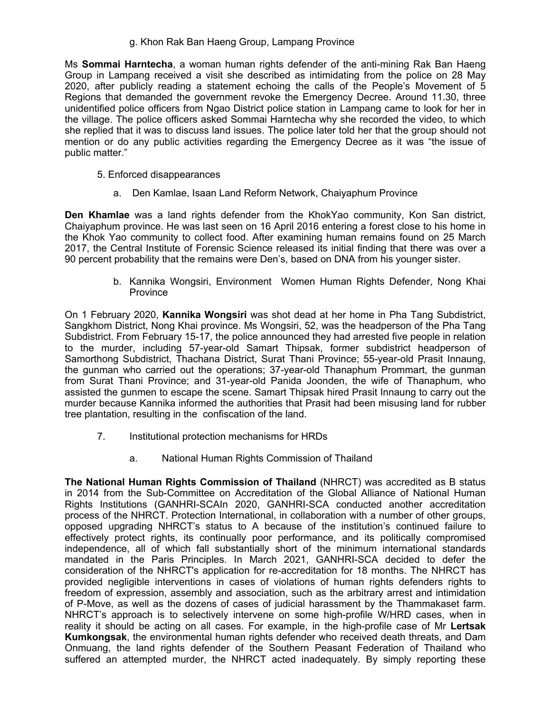g. Khon Rak Ban Haeng Group, Lampang Province

Ms **Sommai Harntecha**, <sup>a</sup> woman human rights defender of the anti-mining Rak Ban Haeng Group in Lampang received <sup>a</sup> visit she described as intimidating from the police on 28 May 2020, after publicly reading <sup>a</sup> statement echoing the calls of the People'<sup>s</sup> Movement of 5 Regions that demanded the government revoke the Emergency Decree. Around 11.30, three unidentified police officers from Ngao District police station in Lampang came to look for her in the village. The police officers asked Sommai Harntecha why she recorded the video, to which she replied that it was to discuss land issues. The police later told her that the group should not mention or do any public activities regarding the Emergency Decree as it was "the issue of public matter."

- 5. Enforced disappearances
	- a. Den Kamlae, Isaan Land Reform Network, Chaiyaphum Province

**Den Khamlae** was <sup>a</sup> land rights defender from the KhokYao community, Kon San district, Chaiyaphum province. He was last seen on 16 April 2016 entering <sup>a</sup> forest close to his home in the Khok Yao community to collect food. After examining human remains found on 25 March 2017, the Central Institute of Forensic Science released its initial finding that there was over <sup>a</sup> 90 percent probability that the remains were Den's, based on DNA from his younger sister.

> b. Kannika Wongsiri, Environment Women Human Rights Defender, Nong Khai **Province**

On 1 February 2020, **Kannika Wongsiri** was shot dead at her home in Pha Tang Subdistrict, Sangkhom District, Nong Khai province. Ms Wongsiri, 52, was the headperson of the Pha Tang Subdistrict. From February 15-17, the police announced they had arrested five people in relation to the murder, including 57-year-old Samart Thipsak, former subdistrict headperson of Samorthong Subdistrict, Thachana District, Surat Thani Province; 55-year-old Prasit Innaung, the gunman who carried out the operations; 37-year-old Thanaphum Prommart, the gunman from Surat Thani Province; and 31-year-old Panida Joonden, the wife of Thanaphum, who assisted the gunmen to escape the scene. Samart Thipsak hired Prasit Innaung to carry out the murder because Kannika informed the authorities that Prasit had been misusing land for rubber tree plantation, resulting in the confiscation of the land.

- 7. Institutional protection mechanisms for HRDs
	- a. National Human Rights Commission of Thailand

**The National Human Rights Commission of Thailand** (NHRCT) was accredited as B status in 2014 from the Sub-Committee on Accreditation of the Global Alliance of National Human Rights Institutions (GANHRI-SCAIn 2020, GANHRI-SCA conducted another accreditation process of the NHRCT. Protection International, in collaboration with <sup>a</sup> number of other groups, opposed upgrading NHRCT'<sup>s</sup> status to A because of the institution'<sup>s</sup> continued failure to effectively protect rights, its continually poor performance, and its politically compromised independence, all of which fall substantially short of the minimum international standards mandated in the Paris Principles. In March 2021, GANHRI-SCA decided to defer the consideration of the NHRCT's application for re-accreditation for 18 months. The NHRCT has provided negligible interventions in cases of violations of human rights defenders rights to freedom of expression, assembly and association, such as the arbitrary arrest and intimidation of P-Move, as well as the dozens of cases of judicial harassment by the Thammakaset farm. NHRCT'<sup>s</sup> approach is to selectively intervene on some high-profile W/HRD cases, when in reality it should be acting on all cases. For example, in the high-profile case of Mr **Lertsak Kumkongsak**, the environmental human rights defender who received death threats, and Dam Onmuang, the land rights defender of the Southern Peasant Federation of Thailand who suffered an attempted murder, the NHRCT acted inadequately. By simply reporting these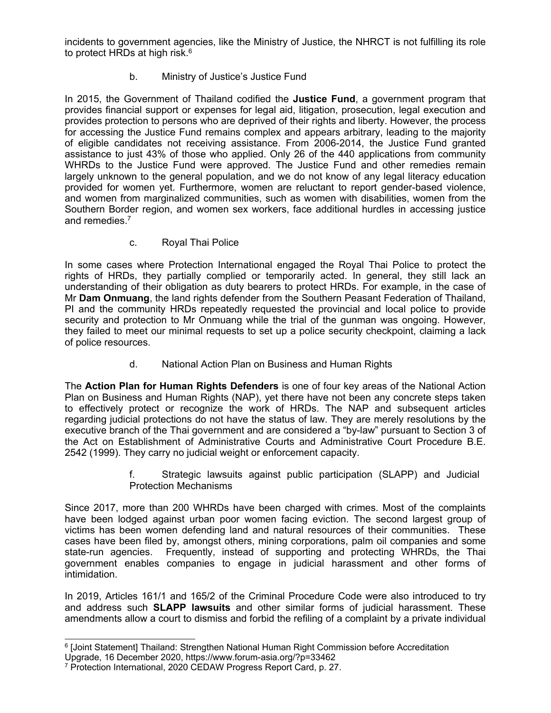incidents to government agencies, like the Ministry of Justice, the NHRCT is not fulfilling its role to protect HRDs at high risk. 6

# b. Ministry of Justice'<sup>s</sup> Justice Fund

In 2015, the Government of Thailand codified the **Justice Fund**, <sup>a</sup> government program that provides financial support or expenses for legal aid, litigation, prosecution, legal execution and provides protection to persons who are deprived of their rights and liberty. However, the process for accessing the Justice Fund remains complex and appears arbitrary, leading to the majority of eligible candidates not receiving assistance. From 2006-2014, the Justice Fund granted assistance to just 43% of those who applied. Only 26 of the 440 applications from community WHRDs to the Justice Fund were approved. The Justice Fund and other remedies remain largely unknown to the general population, and we do not know of any legal literacy education provided for women yet. Furthermore, women are reluctant to report gender-based violence, and women from marginalized communities, such as women with disabilities, women from the Southern Border region, and women sex workers, face additional hurdles in accessing justice and remedies. 7

c. Royal Thai Police

In some cases where Protection International engaged the Royal Thai Police to protect the rights of HRDs, they partially complied or temporarily acted. In general, they still lack an understanding of their obligation as duty bearers to protect HRDs. For example, in the case of Mr **Dam Onmuang**, the land rights defender from the Southern Peasant Federation of Thailand, PI and the community HRDs repeatedly requested the provincial and local police to provide security and protection to Mr Onmuang while the trial of the gunman was ongoing. However, they failed to meet our minimal requests to set up <sup>a</sup> police security checkpoint, claiming <sup>a</sup> lack of police resources.

d. National Action Plan on Business and Human Rights

The **Action Plan for Human Rights Defenders** is one of four key areas of the National Action Plan on Business and Human Rights (NAP), yet there have not been any concrete steps taken to effectively protect or recognize the work of HRDs. The NAP and subsequent articles regarding judicial protections do not have the status of law. They are merely resolutions by the executive branch of the Thai government and are considered <sup>a</sup> "by-law" pursuant to Section 3 of the Act on Establishment of Administrative Courts and Administrative Court Procedure B.E. 2542 (1999). They carry no judicial weight or enforcement capacity.

> f. Strategic lawsuits against public participation (SLAPP) and Judicial Protection Mechanisms

Since 2017, more than 200 WHRDs have been charged with crimes. Most of the complaints have been lodged against urban poor women facing eviction. The second largest group of victims has been women defending land and natural resources of their communities. These cases have been filed by, amongst others, mining corporations, palm oil companies and some state-run agencies. Frequently, instead of supporting and protecting WHRDs, the Thai government enables companies to engage in judicial harassment and other forms of intimidation.

In 2019, Articles 161/1 and 165/2 of the Criminal Procedure Code were also introduced to try and address such **SLAPP lawsuits** and other similar forms of judicial harassment. These amendments allow <sup>a</sup> court to dismiss and forbid the refiling of <sup>a</sup> complaint by <sup>a</sup> private individual

<sup>6</sup> [Joint Statement] Thailand: Strengthen National Human Right Commission before Accreditation

Upgrade, 16 December 2020, https://www.forum-asia.org/?p=33462

<sup>7</sup> Protection International, 2020 CEDAW Progress Report Card, p. 27.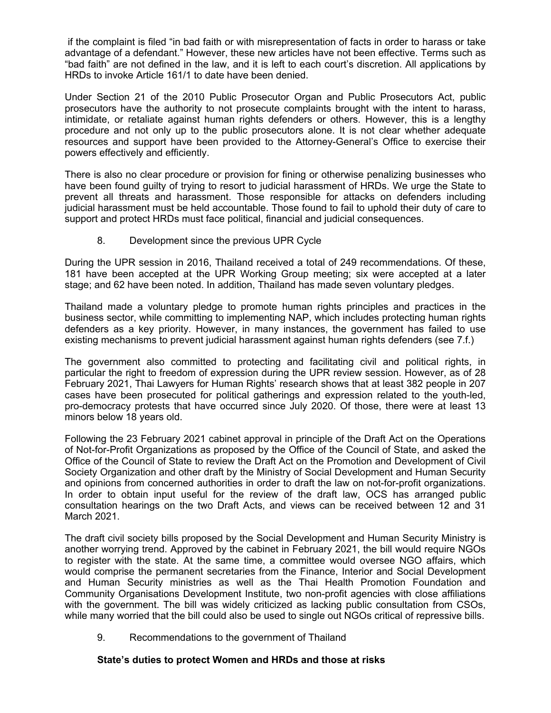if the complaint is filed "in bad faith or with misrepresentation of facts in order to harass or take advantage of <sup>a</sup> defendant." However, these new articles have not been effective. Terms such as "bad faith" are not defined in the law, and it is left to each court'<sup>s</sup> discretion. All applications by HRDs to invoke Article 161/1 to date have been denied.

Under Section 21 of the 2010 Public Prosecutor Organ and Public Prosecutors Act, public prosecutors have the authority to not prosecute complaints brought with the intent to harass, intimidate, or retaliate against human rights defenders or others. However, this is <sup>a</sup> lengthy procedure and not only up to the public prosecutors alone. It is not clear whether adequate resources and support have been provided to the Attorney-General'<sup>s</sup> Office to exercise their powers effectively and efficiently.

There is also no clear procedure or provision for fining or otherwise penalizing businesses who have been found guilty of trying to resort to judicial harassment of HRDs. We urge the State to prevent all threats and harassment. Those responsible for attacks on defenders including judicial harassment must be held accountable. Those found to fail to uphold their duty of care to support and protect HRDs must face political, financial and judicial consequences.

8. Development since the previous UPR Cycle

During the UPR session in 2016, Thailand received <sup>a</sup> total of 249 recommendations. Of these, 181 have been accepted at the UPR Working Group meeting; six were accepted at <sup>a</sup> later stage; and 62 have been noted. In addition, Thailand has made seven voluntary pledges.

Thailand made <sup>a</sup> voluntary pledge to promote human rights principles and practices in the business sector, while committing to implementing NAP, which includes protecting human rights defenders as <sup>a</sup> key priority. However, in many instances, the government has failed to use existing mechanisms to prevent judicial harassment against human rights defenders (see 7.f.)

The government also committed to protecting and facilitating civil and political rights, in particular the right to freedom of expression during the UPR review session. However, as of 28 February 2021, Thai Lawyers for Human Rights' research shows that at least 382 people in 207 cases have been prosecuted for political gatherings and expression related to the youth-led, pro-democracy protests that have occurred since July 2020. Of those, there were at least 13 minors below 18 years old.

Following the 23 February 2021 cabinet approval in principle of the Draft Act on the Operations of Not-for-Profit Organizations as proposed by the Office of the Council of State, and asked the Office of the Council of State to review the Draft Act on the Promotion and Development of Civil Society Organization and other draft by the Ministry of Social Development and Human Security and opinions from concerned authorities in order to draft the law on not-for-profit organizations. In order to obtain input useful for the review of the draft law, OCS has arranged public consultation hearings on the two Draft Acts, and views can be received between 12 and 31 March 2021.

The draft civil society bills proposed by the Social Development and Human Security Ministry is another worrying trend. Approved by the cabinet in February 2021, the bill would require NGOs to register with the state. At the same time, <sup>a</sup> committee would oversee NGO affairs, which would comprise the permanent secretaries from the Finance, Interior and Social Development and Human Security ministries as well as the Thai Health Promotion Foundation and Community Organisations Development Institute, two non-profit agencies with close affiliations with the government. The bill was widely criticized as lacking public consultation from CSOs, while many worried that the bill could also be used to single out NGOs critical of repressive bills.

9. Recommendations to the government of Thailand

### **State'<sup>s</sup> duties to protect Women and HRDs and those at risks**